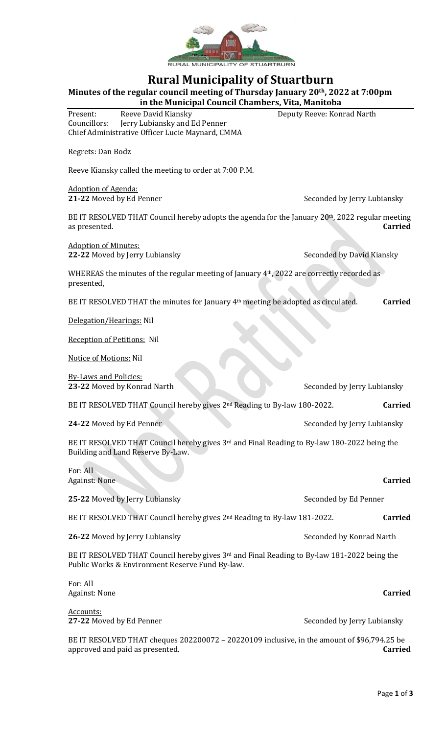

# **Rural Municipality of Stuartburn**

**Minutes of the regular council meeting of Thursday January 20th, 2022 at 7:00pm**

| in the Municipal Council Chambers, Vita, Manitoba |                                                  |                            |  |  |
|---------------------------------------------------|--------------------------------------------------|----------------------------|--|--|
| Present:                                          | Reeve David Kiansky                              | Deputy Reeve: Konrad Narth |  |  |
| Councillors:                                      | Jerry Lubiansky and Ed Penner                    |                            |  |  |
|                                                   | Chief Administrative Officer Lucie Maynard, CMMA |                            |  |  |

Regrets: Dan Bodz

Reeve Kiansky called the meeting to order at 7:00 P.M.

Adoption of Agenda:

**21-22** Moved by Ed Penner Seconded by Jerry Lubiansky

BE IT RESOLVED THAT Council hereby adopts the agenda for the January 20<sup>th</sup>, 2022 regular meeting as presented. **Carried**

Adoption of Minutes: **22-22** Moved by Jerry Lubiansky Seconded by David Kiansky

WHEREAS the minutes of the regular meeting of January 4th, 2022 are correctly recorded as presented,

BE IT RESOLVED THAT the minutes for January 4<sup>th</sup> meeting be adopted as circulated. **Carried** 

Delegation/Hearings: Nil

Reception of Petitions: Nil

Notice of Motions: Nil

By-Laws and Policies: **23-22** Moved by Konrad Narth Seconded by Jerry Lubiansky

BE IT RESOLVED THAT Council hereby gives 2nd Reading to By-law 180-2022. **Carried**

**24-22** Moved by Ed Penner Seconded by Jerry Lubiansky

BE IT RESOLVED THAT Council hereby gives 3rd and Final Reading to By-law 180-2022 being the Building and Land Reserve By-Law.

| For: All<br><b>Against: None</b>                                                                                                                           | <b>Carried</b>              |
|------------------------------------------------------------------------------------------------------------------------------------------------------------|-----------------------------|
| 25-22 Moved by Jerry Lubiansky                                                                                                                             | Seconded by Ed Penner       |
| BE IT RESOLVED THAT Council hereby gives 2 <sup>nd</sup> Reading to By-law 181-2022.                                                                       | <b>Carried</b>              |
| 26-22 Moved by Jerry Lubiansky                                                                                                                             | Seconded by Konrad Narth    |
| BE IT RESOLVED THAT Council hereby gives 3 <sup>rd</sup> and Final Reading to By-law 181-2022 being the<br>Public Works & Environment Reserve Fund By-law. |                             |
| For: All<br><b>Against: None</b>                                                                                                                           | <b>Carried</b>              |
| Accounts:<br>27-22 Moved by Ed Penner                                                                                                                      | Seconded by Jerry Lubiansky |

BE IT RESOLVED THAT cheques 202200072 – 20220109 inclusive, in the amount of \$96,794.25 be approved and paid as presented. **Carried**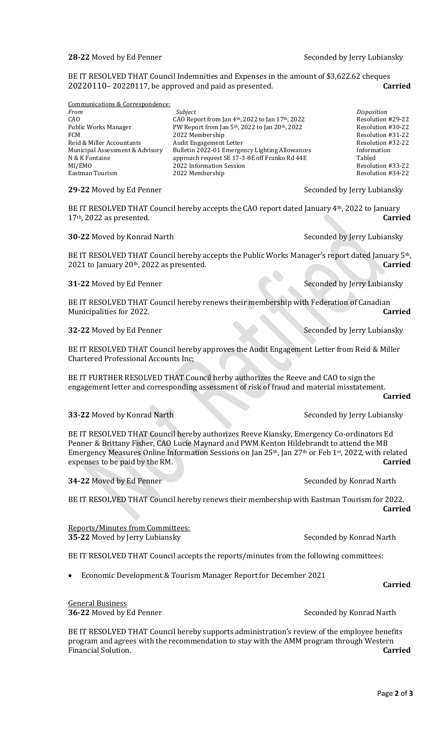#### **28-22** Moved by Ed Penner Seconded by Jerry Lubiansky

**Carried**

BE IT RESOLVED THAT Council Indemnities and Expenses in the amount of \$3,622.62 cheques 20220110– 20220117, be approved and paid as presented. **Carried**

Communications & Correspondence:

| From                            | Subject                                                                  | Disposition       |
|---------------------------------|--------------------------------------------------------------------------|-------------------|
| CAO                             | CAO Report from Jan 4th, 2022 to Jan 17th, 2022                          | Resolution #29-22 |
| Public Works Manager            | PW Report from Jan 5 <sup>th</sup> , 2022 to Jan 20 <sup>th</sup> , 2022 | Resolution #30-22 |
| FCM                             | 2022 Membership                                                          | Resolution #31-22 |
| Reid & Miller Accountants       | Audit Engagement Letter                                                  | Resolution #32-22 |
| Municipal Assessment & Advisory | Bulletin 2022-01 Emergency Lighting Allowances                           | Information       |
| N & K Fontaine                  | approach request SE 17-3-8E off Franko Rd 44E                            | Tabled            |
| MI/EMO                          | 2022 Information Session                                                 | Resolution #33-22 |
| Eastman Tourism                 | 2022 Membership                                                          | Resolution #34-22 |
|                                 |                                                                          |                   |

#### **29-22** Moved by Ed Penner Seconded by Jerry Lubiansky

BE IT RESOLVED THAT Council hereby accepts the CAO report dated January 4th, 2022 to January 17th, 2022 as presented. **Carried**

**30-22** Moved by Konrad Narth Seconded by Jerry Lubiansky

BE IT RESOLVED THAT Council hereby accepts the Public Works Manager's report dated January 5th, 2021 to January 20th, 2022 as presented. **Carried**

### **31-22** Moved by Ed Penner Seconded by Jerry Lubiansky

BE IT RESOLVED THAT Council hereby renews their membership with Federation of Canadian Municipalities for 2022. **Carried**

### **32-22** Moved by Ed Penner Seconded by Jerry Lubiansky

BE IT RESOLVED THAT Council hereby approves the Audit Engagement Letter from Reid & Miller Chartered Professional Accounts Inc;

BE IT FURTHER RESOLVED THAT Council herby authorizes the Reeve and CAO to sign the engagement letter and corresponding assessment of risk of fraud and material misstatement.

**33-22** Moved by Konrad Narth Seconded by Jerry Lubiansky

BE IT RESOLVED THAT Council hereby authorizes Reeve Kiansky, Emergency Co-ordinators Ed Penner & Brittany Fisher, CAO Lucie Maynard and PWM Kenton Hildebrandt to attend the MB Emergency Measures Online Information Sessions on Jan 25th, Jan 27th or Feb 1st , 2022, with related expenses to be paid by the RM. **Carried**

**34-22** Moved by Ed Penner Seconded by Konrad Narth

BE IT RESOLVED THAT Council hereby renews their membership with Eastman Tourism for 2022. **Carried**

## Reports/Minutes from Committees:

**35-22** Moved by Jerry Lubiansky Seconded by Konrad Narth

BE IT RESOLVED THAT Council accepts the reports/minutes from the following committees:

• Economic Development & Tourism Manager Report for December 2021

## General Business

**36-22** Moved by Ed Penner Seconded by Konrad Narth

BE IT RESOLVED THAT Council hereby supports administration's review of the employee benefits program and agrees with the recommendation to stay with the AMM program through Western Financial Solution. **Carried**

## **Carried**